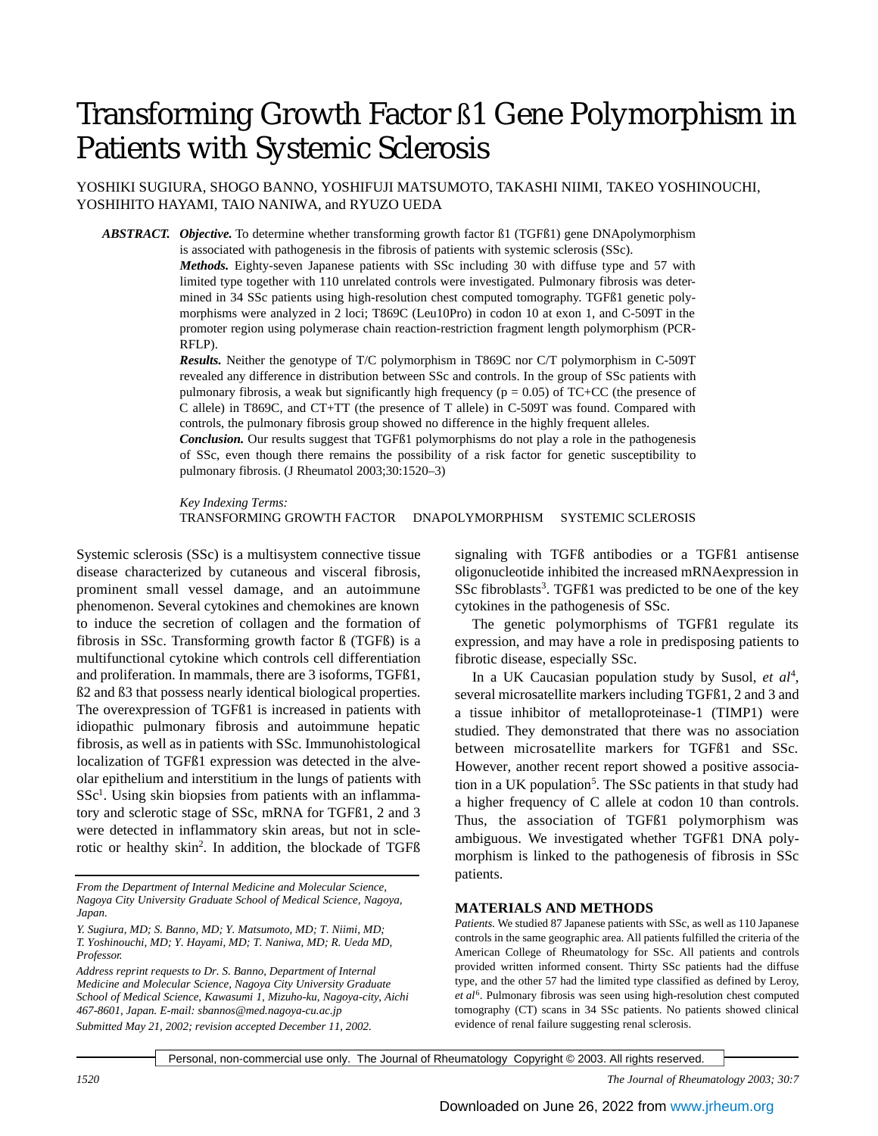# Transforming Growth Factor ß1 Gene Polymorphism in Patients with Systemic Sclerosis

YOSHIKI SUGIURA, SHOGO BANNO, YOSHIFUJI MATSUMOTO, TAKASHI NIIMI, TAKEO YOSHINOUCHI, YOSHIHITO HAYAMI, TAIO NANIWA, and RYUZO UEDA

*ABSTRACT. Objective.* To determine whether transforming growth factor ß1 (TGFß1) gene DNApolymorphism

is associated with pathogenesis in the fibrosis of patients with systemic sclerosis (SSc). *Methods.* Eighty-seven Japanese patients with SSc including 30 with diffuse type and 57 with limited type together with 110 unrelated controls were investigated. Pulmonary fibrosis was determined in 34 SSc patients using high-resolution chest computed tomography. TGFß1 genetic polymorphisms were analyzed in 2 loci; T869C (Leu10Pro) in codon 10 at exon 1, and C-509T in the promoter region using polymerase chain reaction-restriction fragment length polymorphism (PCR-RFLP).

*Results.* Neither the genotype of T/C polymorphism in T869C nor C/T polymorphism in C-509T revealed any difference in distribution between SSc and controls. In the group of SSc patients with pulmonary fibrosis, a weak but significantly high frequency ( $p = 0.05$ ) of TC+CC (the presence of C allele) in T869C, and CT+TT (the presence of T allele) in C-509T was found. Compared with controls, the pulmonary fibrosis group showed no difference in the highly frequent alleles.

*Conclusion.* Our results suggest that TGFß1 polymorphisms do not play a role in the pathogenesis of SSc, even though there remains the possibility of a risk factor for genetic susceptibility to pulmonary fibrosis. (J Rheumatol 2003;30:1520–3)

*Key Indexing Terms:* TRANSFORMING GROWTH FACTOR DNAPOLYMORPHISM SYSTEMIC SCLEROSIS

Systemic sclerosis (SSc) is a multisystem connective tissue disease characterized by cutaneous and visceral fibrosis, prominent small vessel damage, and an autoimmune phenomenon. Several cytokines and chemokines are known to induce the secretion of collagen and the formation of fibrosis in SSc. Transforming growth factor ß (TGFß) is a multifunctional cytokine which controls cell differentiation and proliferation. In mammals, there are 3 isoforms, TGFß1, ß2 and ß3 that possess nearly identical biological properties. The overexpression of TGFß1 is increased in patients with idiopathic pulmonary fibrosis and autoimmune hepatic fibrosis, as well as in patients with SSc. Immunohistological localization of TGFß1 expression was detected in the alveolar epithelium and interstitium in the lungs of patients with SSc<sup>1</sup>. Using skin biopsies from patients with an inflammatory and sclerotic stage of SSc, mRNA for TGFß1, 2 and 3 were detected in inflammatory skin areas, but not in sclerotic or healthy skin<sup>2</sup> . In addition, the blockade of TGFß

*From the Department of Internal Medicine and Molecular Science, Nagoya City University Graduate School of Medical Science, Nagoya, Japan.* 

*Address reprint requests to Dr. S. Banno, Department of Internal Medicine and Molecular Science, Nagoya City University Graduate School of Medical Science, Kawasumi 1, Mizuho-ku, Nagoya-city, Aichi 467-8601, Japan. E-mail: sbannos@med.nagoya-cu.ac.jp Submitted May 21, 2002; revision accepted December 11, 2002.*

signaling with TGFß antibodies or a TGFß1 antisense oligonucleotide inhibited the increased mRNAexpression in SSc fibroblasts<sup>3</sup>. TGFß1 was predicted to be one of the key cytokines in the pathogenesis of SSc.

The genetic polymorphisms of TGFß1 regulate its expression, and may have a role in predisposing patients to fibrotic disease, especially SSc.

In a UK Caucasian population study by Susol, et al<sup>4</sup>, several microsatellite markers including TGFß1, 2 and 3 and a tissue inhibitor of metalloproteinase-1 (TIMP1) were studied. They demonstrated that there was no association between microsatellite markers for TGFß1 and SSc. However, another recent report showed a positive association in a UK population<sup>5</sup>. The SSc patients in that study had a higher frequency of C allele at codon 10 than controls. Thus, the association of TGFß1 polymorphism was ambiguous. We investigated whether TGFß1 DNA polymorphism is linked to the pathogenesis of fibrosis in SSc patients.

### **MATERIALS AND METHODS**

*Patients.* We studied 87 Japanese patients with SSc, as well as 110 Japanese controls in the same geographic area. All patients fulfilled the criteria of the American College of Rheumatology for SSc. All patients and controls provided written informed consent. Thirty SSc patients had the diffuse type, and the other 57 had the limited type classified as defined by Leroy, et al<sup>6</sup>. Pulmonary fibrosis was seen using high-resolution chest computed tomography (CT) scans in 34 SSc patients. No patients showed clinical evidence of renal failure suggesting renal sclerosis.

Personal, non-commercial use only. The Journal of Rheumatology Copyright © 2003. All rights reserved.

*Y. Sugiura, MD; S. Banno, MD; Y. Matsumoto, MD; T. Niimi, MD; T. Yoshinouchi, MD; Y. Hayami, MD; T. Naniwa, MD; R. Ueda MD, Professor.*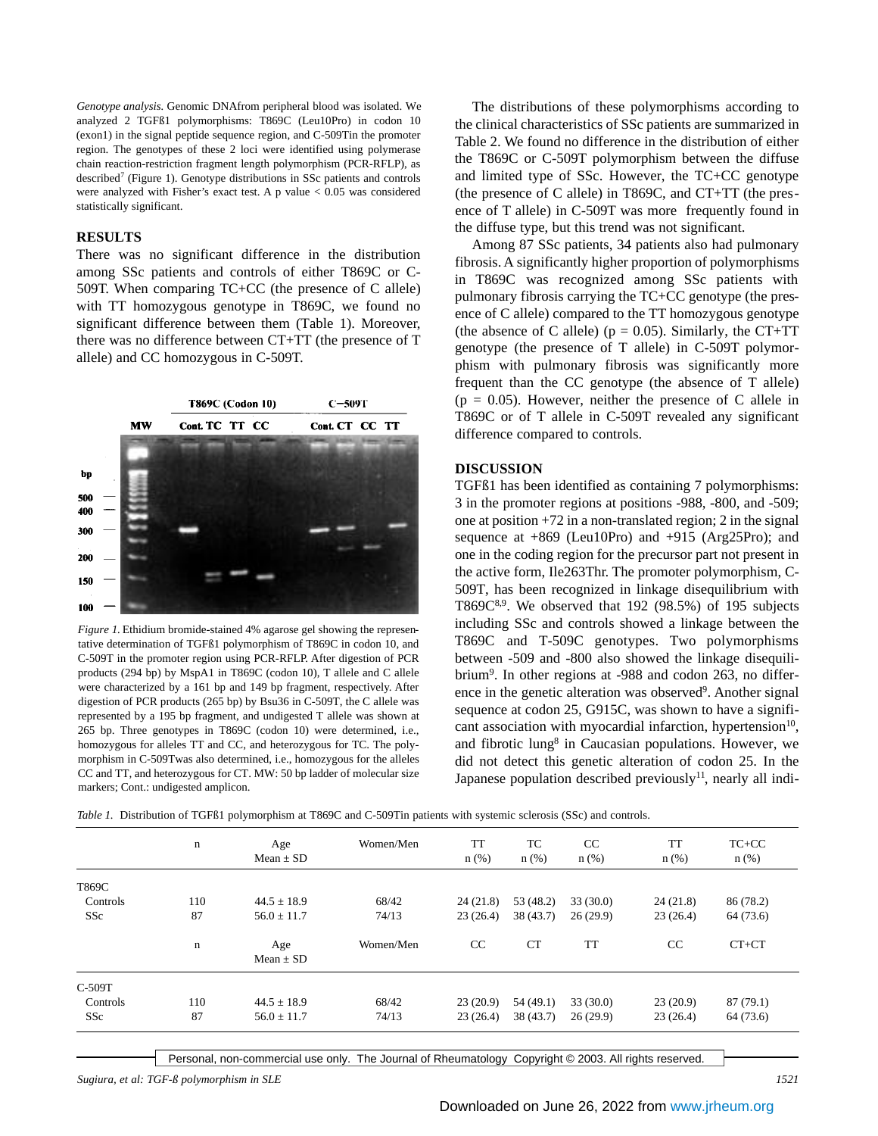*Genotype analysis.* Genomic DNAfrom peripheral blood was isolated. We analyzed 2 TGFß1 polymorphisms: T869C (Leu10Pro) in codon 10 (exon1) in the signal peptide sequence region, and C-509Tin the promoter region. The genotypes of these 2 loci were identified using polymerase chain reaction-restriction fragment length polymorphism (PCR-RFLP), as described<sup>7</sup> (Figure 1). Genotype distributions in SSc patients and controls were analyzed with Fisher's exact test. A p value < 0.05 was considered statistically significant.

### **RESULTS**

There was no significant difference in the distribution among SSc patients and controls of either T869C or C-509T. When comparing TC+CC (the presence of C allele) with TT homozygous genotype in T869C, we found no significant difference between them (Table 1). Moreover, there was no difference between CT+TT (the presence of T allele) and CC homozygous in C-509T.



*Figure 1.* Ethidium bromide-stained 4% agarose gel showing the representative determination of TGFß1 polymorphism of T869C in codon 10, and C-509T in the promoter region using PCR-RFLP. After digestion of PCR products (294 bp) by MspA1 in T869C (codon 10), T allele and C allele were characterized by a 161 bp and 149 bp fragment, respectively. After digestion of PCR products (265 bp) by Bsu36 in C-509T, the C allele was represented by a 195 bp fragment, and undigested T allele was shown at 265 bp. Three genotypes in T869C (codon 10) were determined, i.e., homozygous for alleles TT and CC, and heterozygous for TC. The polymorphism in C-509Twas also determined, i.e., homozygous for the alleles CC and TT, and heterozygous for CT. MW: 50 bp ladder of molecular size markers; Cont.: undigested amplicon.

The distributions of these polymorphisms according to the clinical characteristics of SSc patients are summarized in Table 2. We found no difference in the distribution of either the T869C or C-509T polymorphism between the diffuse and limited type of SSc. However, the TC+CC genotype (the presence of C allele) in T869C, and CT+TT (the presence of T allele) in C-509T was more frequently found in the diffuse type, but this trend was not significant.

Among 87 SSc patients, 34 patients also had pulmonary fibrosis. A significantly higher proportion of polymorphisms in T869C was recognized among SSc patients with pulmonary fibrosis carrying the TC+CC genotype (the presence of C allele) compared to the TT homozygous genotype (the absence of C allele) ( $p = 0.05$ ). Similarly, the CT+TT genotype (the presence of T allele) in C-509T polymorphism with pulmonary fibrosis was significantly more frequent than the CC genotype (the absence of T allele)  $(p = 0.05)$ . However, neither the presence of C allele in T869C or of T allele in C-509T revealed any significant difference compared to controls.

### **DISCUSSION**

TGFß1 has been identified as containing 7 polymorphisms: 3 in the promoter regions at positions -988, -800, and -509; one at position +72 in a non-translated region; 2 in the signal sequence at +869 (Leu10Pro) and +915 (Arg25Pro); and one in the coding region for the precursor part not present in the active form, Ile263Thr. The promoter polymorphism, C-509T, has been recognized in linkage disequilibrium with T869 $C^{8,9}$ . We observed that 192 (98.5%) of 195 subjects including SSc and controls showed a linkage between the T869C and T-509C genotypes. Two polymorphisms between -509 and -800 also showed the linkage disequilibrium<sup>9</sup>. In other regions at -988 and codon 263, no difference in the genetic alteration was observed<sup>9</sup>. Another signal sequence at codon 25, G915C, was shown to have a significant association with myocardial infarction, hypertension<sup>10</sup>, and fibrotic lung<sup>8</sup> in Caucasian populations. However, we did not detect this genetic alteration of codon 25. In the Japanese population described previously<sup>11</sup>, nearly all indi-

*Table 1.* Distribution of TGFß1 polymorphism at T869C and C-509Tin patients with systemic sclerosis (SSc) and controls.

|            | $\mathbf n$ | Age<br>$Mean \pm SD$ | Women/Men | <b>TT</b><br>$n$ (%) | TC<br>$n$ (%) | CC<br>$n$ (%) | <b>TT</b><br>$n$ (%) | $TC+CC$<br>$n$ (%) |
|------------|-------------|----------------------|-----------|----------------------|---------------|---------------|----------------------|--------------------|
| T869C      |             |                      |           |                      |               |               |                      |                    |
| Controls   | 110         | $44.5 + 18.9$        | 68/42     | 24(21.8)             | 53 (48.2)     | 33(30.0)      | 24(21.8)             | 86 (78.2)          |
| <b>SSc</b> | 87          | $56.0 \pm 11.7$      | 74/13     | 23(26.4)             | 38(43.7)      | 26(29.9)      | 23(26.4)             | 64 (73.6)          |
|            | $\mathbf n$ | Age<br>Mean $\pm$ SD | Women/Men | CC                   | <b>CT</b>     | <b>TT</b>     | CC                   | $CT+CT$            |
| C-509T     |             |                      |           |                      |               |               |                      |                    |
| Controls   | 110         | $44.5 \pm 18.9$      | 68/42     | 23(20.9)             | 54 (49.1)     | 33(30.0)      | 23(20.9)             | 87(79.1)           |
| <b>SSc</b> | 87          | $56.0 \pm 11.7$      | 74/13     | 23(26.4)             | 38(43.7)      | 26(29.9)      | 23(26.4)             | 64 (73.6)          |

Personal, non-commercial use only. The Journal of Rheumatology Copyright © 2003. All rights reserved.

*Sugiura, et al: TGF-ß polymorphism in SLE 1521*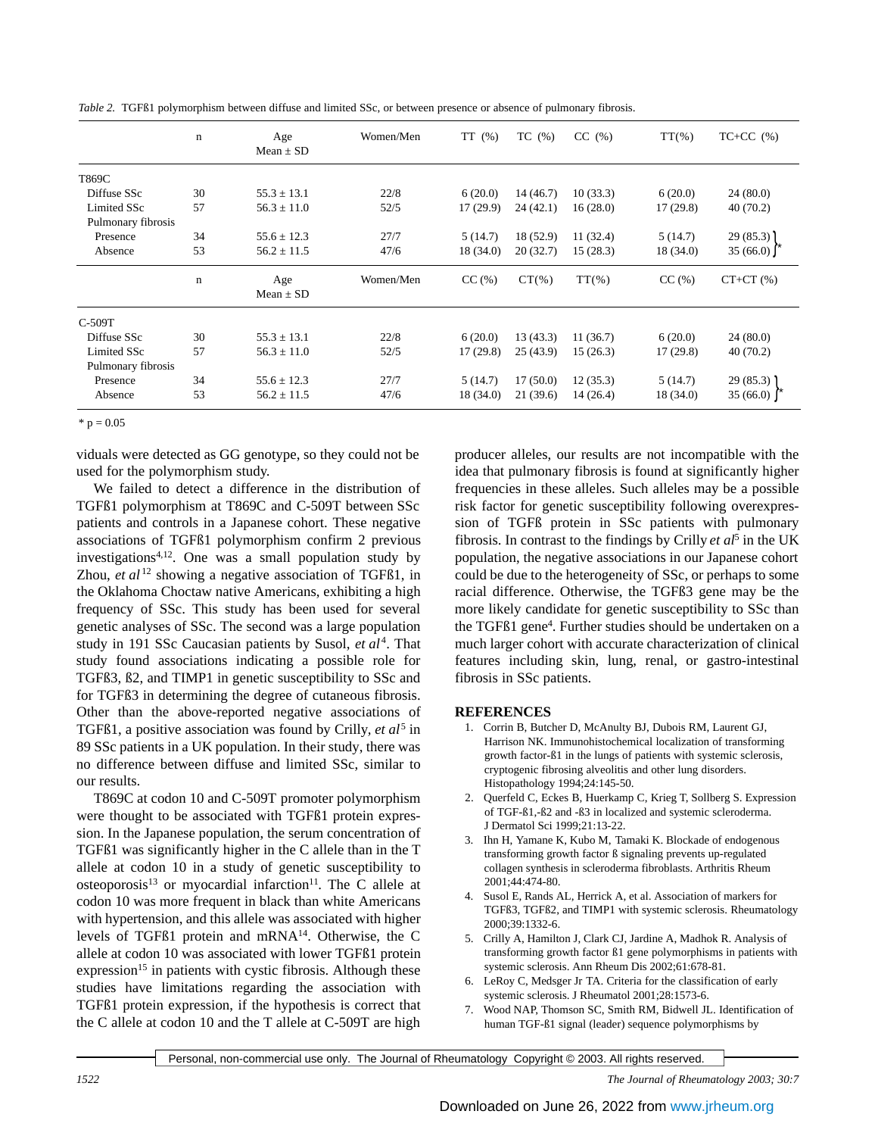|                    | $\mathbf n$ | Age<br>Mean $\pm$ SD | Women/Men | TT(%)     | TC(%)     | $CC$ $(\%)$ | $TT(\% )$ | $TC+CC$ $(\%)$ |
|--------------------|-------------|----------------------|-----------|-----------|-----------|-------------|-----------|----------------|
| T869C              |             |                      |           |           |           |             |           |                |
| Diffuse SSc        | 30          | $55.3 \pm 13.1$      | 22/8      | 6(20.0)   | 14(46.7)  | 10(33.3)    | 6(20.0)   | 24(80.0)       |
| <b>Limited SSc</b> | 57          | $56.3 \pm 11.0$      | 52/5      | 17(29.9)  | 24(42.1)  | 16(28.0)    | 17(29.8)  | 40(70.2)       |
| Pulmonary fibrosis |             |                      |           |           |           |             |           |                |
| Presence           | 34          | $55.6 \pm 12.3$      | 27/7      | 5(14.7)   | 18 (52.9) | 11(32.4)    | 5(14.7)   | 29(85.3)       |
| Absence            | 53          | $56.2 \pm 11.5$      | 47/6      | 18 (34.0) | 20(32.7)  | 15(28.3)    | 18 (34.0) | 35(66.0)       |
|                    | $\mathbf n$ | Age<br>$Mean \pm SD$ | Women/Men | CC(%)     | $CT(\% )$ | $TT(\% )$   | CC(%)     | $CT+CT(%)$     |
| C-509T             |             |                      |           |           |           |             |           |                |
| Diffuse SSc        | 30          | $55.3 \pm 13.1$      | 22/8      | 6(20.0)   | 13(43.3)  | 11(36.7)    | 6(20.0)   | 24(80.0)       |
| Limited SSc        | 57          | $56.3 \pm 11.0$      | 52/5      | 17(29.8)  | 25(43.9)  | 15(26.3)    | 17(29.8)  | 40(70.2)       |
| Pulmonary fibrosis |             |                      |           |           |           |             |           |                |
| Presence           | 34          | $55.6 \pm 12.3$      | 27/7      | 5(14.7)   | 17(50.0)  | 12(35.3)    | 5(14.7)   | 29(85.3)       |
| Absence            | 53          | $56.2 \pm 11.5$      | 47/6      | 18 (34.0) | 21(39.6)  | 14(26.4)    | 18 (34.0) | 35(66.0)       |

*Table 2.* TGFß1 polymorphism between diffuse and limited SSc, or between presence or absence of pulmonary fibrosis.

 $*$  p = 0.05

viduals were detected as GG genotype, so they could not be used for the polymorphism study.

We failed to detect a difference in the distribution of TGFß1 polymorphism at T869C and C-509T between SSc patients and controls in a Japanese cohort. These negative associations of TGFß1 polymorphism confirm 2 previous investigations4,12. One was a small population study by Zhou, *et al* <sup>12</sup> showing a negative association of TGFß1, in the Oklahoma Choctaw native Americans, exhibiting a high frequency of SSc. This study has been used for several genetic analyses of SSc. The second was a large population study in 191 SSc Caucasian patients by Susol, et al<sup>4</sup>. That study found associations indicating a possible role for TGFß3, ß2, and TIMP1 in genetic susceptibility to SSc and for TGFß3 in determining the degree of cutaneous fibrosis. Other than the above-reported negative associations of TGFß1, a positive association was found by Crilly*, et al*<sup>5</sup> in 89 SSc patients in a UK population. In their study, there was no difference between diffuse and limited SSc, similar to our results.

T869C at codon 10 and C-509T promoter polymorphism were thought to be associated with TGFß1 protein expression. In the Japanese population, the serum concentration of TGFß1 was significantly higher in the C allele than in the T allele at codon 10 in a study of genetic susceptibility to osteoporosis<sup>13</sup> or myocardial infarction<sup>11</sup>. The C allele at codon 10 was more frequent in black than white Americans with hypertension, and this allele was associated with higher levels of TGFß1 protein and mRNA<sup>14</sup>. Otherwise, the C allele at codon 10 was associated with lower TGFß1 protein expression<sup>15</sup> in patients with cystic fibrosis. Although these studies have limitations regarding the association with TGFß1 protein expression, if the hypothesis is correct that the C allele at codon 10 and the T allele at C-509T are high

producer alleles, our results are not incompatible with the idea that pulmonary fibrosis is found at significantly higher frequencies in these alleles. Such alleles may be a possible risk factor for genetic susceptibility following overexpression of TGFß protein in SSc patients with pulmonary fibrosis. In contrast to the findings by Crilly *et al*<sup>5</sup> in the UK population, the negative associations in our Japanese cohort could be due to the heterogeneity of SSc, or perhaps to some racial difference. Otherwise, the TGFß3 gene may be the more likely candidate for genetic susceptibility to SSc than the TGFß1 gene<sup>4</sup> . Further studies should be undertaken on a much larger cohort with accurate characterization of clinical features including skin, lung, renal, or gastro-intestinal fibrosis in SSc patients.

## **REFERENCES**

- 1. Corrin B, Butcher D, McAnulty BJ, Dubois RM, Laurent GJ, Harrison NK. Immunohistochemical localization of transforming growth factor-ß1 in the lungs of patients with systemic sclerosis, cryptogenic fibrosing alveolitis and other lung disorders. Histopathology 1994;24:145-50.
- 2. Querfeld C, Eckes B, Huerkamp C, Krieg T, Sollberg S. Expression of TGF-ß1,-ß2 and -ß3 in localized and systemic scleroderma. J Dermatol Sci 1999;21:13-22.
- 3. Ihn H, Yamane K, Kubo M, Tamaki K. Blockade of endogenous transforming growth factor ß signaling prevents up-regulated collagen synthesis in scleroderma fibroblasts. Arthritis Rheum 2001;44:474-80.
- 4. Susol E, Rands AL, Herrick A, et al. Association of markers for TGFß3, TGFß2, and TIMP1 with systemic sclerosis. Rheumatology 2000;39:1332-6.
- 5. Crilly A, Hamilton J, Clark CJ, Jardine A, Madhok R. Analysis of transforming growth factor ß1 gene polymorphisms in patients with systemic sclerosis. Ann Rheum Dis 2002;61:678-81.
- 6. LeRoy C, Medsger Jr TA. Criteria for the classification of early systemic sclerosis. J Rheumatol 2001;28:1573-6.
- 7. Wood NAP, Thomson SC, Smith RM, Bidwell JL. Identification of human TGF-ß1 signal (leader) sequence polymorphisms by

Personal, non-commercial use only. The Journal of Rheumatology Copyright © 2003. All rights reserved.